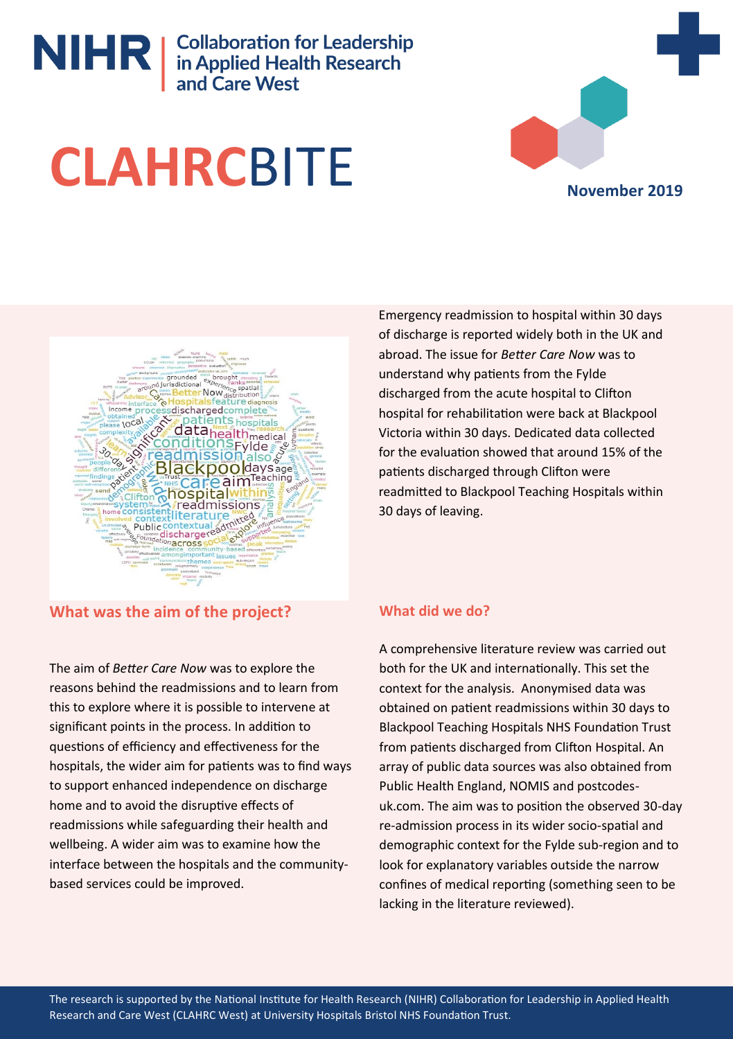# NIHR | Collaboration for Leadership<br>
in Applied Health Research<br>
and Care West





**What was the aim of the project?**

The aim of *Better Care Now* was to explore the reasons behind the readmissions and to learn from this to explore where it is possible to intervene at significant points in the process. In addition to questions of efficiency and effectiveness for the hospitals, the wider aim for patients was to find ways to support enhanced independence on discharge home and to avoid the disruptive effects of readmissions while safeguarding their health and wellbeing. A wider aim was to examine how the interface between the hospitals and the communitybased services could be improved.

Emergency readmission to hospital within 30 days of discharge is reported widely both in the UK and abroad. The issue for *Better Care Now* was to understand why patients from the Fylde discharged from the acute hospital to Clifton hospital for rehabilitation were back at Blackpool Victoria within 30 days. Dedicated data collected for the evaluation showed that around 15% of the patients discharged through Clifton were readmitted to Blackpool Teaching Hospitals within 30 days of leaving.

## **What did we do?**

A comprehensive literature review was carried out both for the UK and internationally. This set the context for the analysis. Anonymised data was obtained on patient readmissions within 30 days to Blackpool Teaching Hospitals NHS Foundation Trust from patients discharged from Clifton Hospital. An array of public data sources was also obtained from Public Health England, NOMIS and postcodesuk.com. The aim was to position the observed 30-day re-admission process in its wider socio-spatial and demographic context for the Fylde sub-region and to look for explanatory variables outside the narrow confines of medical reporting (something seen to be lacking in the literature reviewed).